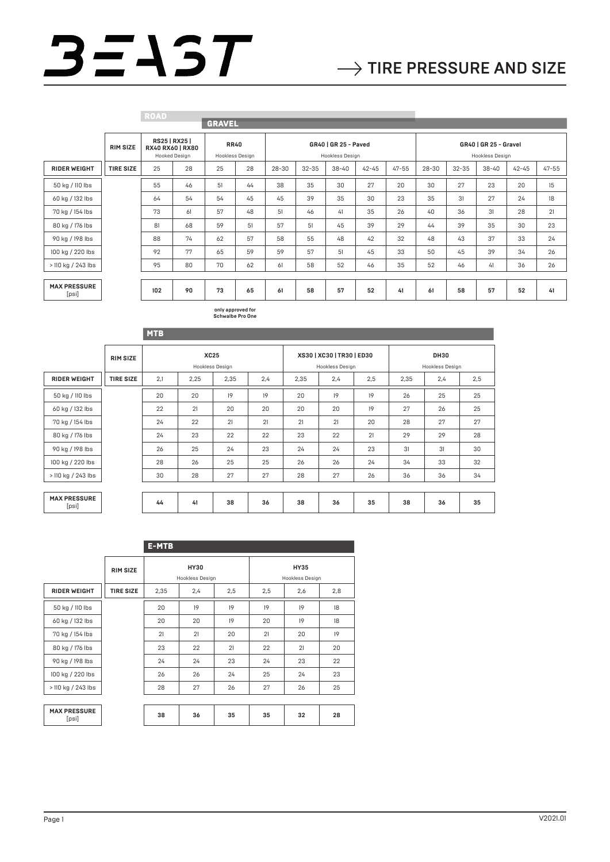## $3 = 15T$

|                              |                  | <b>ROAD</b> |                                                    |                                |    |                                         |           |           |           |                                          |           |           |           |           |           |
|------------------------------|------------------|-------------|----------------------------------------------------|--------------------------------|----|-----------------------------------------|-----------|-----------|-----------|------------------------------------------|-----------|-----------|-----------|-----------|-----------|
|                              |                  |             |                                                    | <b>GRAVEL</b>                  |    |                                         |           |           |           |                                          |           |           |           |           |           |
|                              | <b>RIM SIZE</b>  |             | RS25   RX25  <br>RX40 RX60   RX80<br>Hooked Design | <b>RR40</b><br>Hookless Design |    | GR40   GR 25 - Paved<br>Hookless Design |           |           |           | GR40   GR 25 - Gravel<br>Hookless Design |           |           |           |           |           |
| <b>RIDER WEIGHT</b>          | <b>TIRE SIZE</b> | 25          | 28                                                 | 25                             | 28 | $28 - 30$                               | $32 - 35$ | $38 - 40$ | $42 - 45$ | $47 - 55$                                | $28 - 30$ | $32 - 35$ | $38 - 40$ | $42 - 45$ | $47 - 55$ |
| 50 kg / 110 lbs              |                  | 55          | 46                                                 | 51                             | 44 | 38                                      | 35        | 30        | 27        | 20                                       | 30        | 27        | 23        | 20        | 15        |
| 60 kg / 132 lbs              |                  | 64          | 54                                                 | 54                             | 45 | 45                                      | 39        | 35        | 30        | 23                                       | 35        | 31        | 27        | 24        | 18        |
| 70 kg / 154 lbs              |                  | 73          | 61                                                 | 57                             | 48 | 51                                      | 46        | 41        | 35        | 26                                       | 40        | 36        | 31        | 28        | 21        |
| 80 kg / 176 lbs              |                  | 81          | 68                                                 | 59                             | 51 | 57                                      | 51        | 45        | 39        | 29                                       | 44        | 39        | 35        | 30        | 23        |
| 90 kg / 198 lbs              |                  | 88          | 74                                                 | 62                             | 57 | 58                                      | 55        | 48        | 42        | 32                                       | 48        | 43        | 37        | 33        | 24        |
| 100 kg / 220 lbs             |                  | 92          | 77                                                 | 65                             | 59 | 59                                      | 57        | 51        | 45        | 33                                       | 50        | 45        | 39        | 34        | 26        |
| > 110 kg / 243 lbs           |                  | 95          | 80                                                 | 70                             | 62 | 61                                      | 58        | 52        | 46        | 35                                       | 52        | 46        | 41        | 36        | 26        |
|                              |                  |             |                                                    |                                |    |                                         |           |           |           |                                          |           |           |           |           |           |
| <b>MAX PRESSURE</b><br>[psi] |                  | 102         | 90                                                 | 73                             | 65 | 61                                      | 58        | 57        | 52        | 41                                       | 61        | 58        | 57        | 52        | 41        |

**only approved for Schwalbe Pro One**

|                              |                  | <b>MTB</b> |             |                 |     |      |                                              |     |                                |     |     |
|------------------------------|------------------|------------|-------------|-----------------|-----|------|----------------------------------------------|-----|--------------------------------|-----|-----|
|                              | <b>RIM SIZE</b>  |            | <b>XC25</b> | Hookless Design |     |      | XS30   XC30   TR30   ED30<br>Hookless Design |     | <b>DH30</b><br>Hookless Design |     |     |
| <b>RIDER WEIGHT</b>          | <b>TIRE SIZE</b> | 2,1        | 2,25        | 2,35            | 2,4 | 2,35 | 2,4                                          | 2,5 | 2,35                           | 2,4 | 2,5 |
| 50 kg / 110 lbs              |                  | 20         | 20          | 19              | 19  | 20   | 19                                           | 19  | 26                             | 25  | 25  |
| 60 kg / 132 lbs              |                  | 22         | 21          | 20              | 20  | 20   | 20                                           | 19  | 27                             | 26  | 25  |
| 70 kg / 154 lbs              |                  | 24         | 22          | 21              | 21  | 21   | 21                                           | 20  | 28                             | 27  | 27  |
| 80 kg / 176 lbs              |                  | 24         | 23          | 22              | 22  | 23   | 22                                           | 21  | 29                             | 29  | 28  |
| 90 kg / 198 lbs              |                  | 26         | 25          | 24              | 23  | 24   | 24                                           | 23  | 31                             | 31  | 30  |
| 100 kg / 220 lbs             |                  | 28         | 26          | 25              | 25  | 26   | 26                                           | 24  | 34                             | 33  | 32  |
| > 110 kg / 243 lbs           |                  | 30         | 28          | 27              | 27  | 28   | 27                                           | 26  | 36                             | 36  | 34  |
|                              |                  |            |             |                 |     |      |                                              |     |                                |     |     |
| <b>MAX PRESSURE</b><br>[psi] |                  | 44         | 41          | 38              | 36  | 38   | 36                                           | 35  | 38                             | 36  | 35  |

|                              |                  | <b>E-MTB</b>                     |                                |    |                                |    |     |  |  |
|------------------------------|------------------|----------------------------------|--------------------------------|----|--------------------------------|----|-----|--|--|
|                              | <b>RIM SIZE</b>  |                                  | <b>HY30</b><br>Hookless Design |    | <b>HY35</b><br>Hookless Design |    |     |  |  |
| <b>RIDER WEIGHT</b>          | <b>TIRE SIZE</b> | 2,4<br>2,35<br>2,5<br>2,5<br>2,6 |                                |    |                                |    | 2,8 |  |  |
| 50 kg / 110 lbs              |                  | 20                               | 19                             | 19 | 19                             | 19 | 18  |  |  |
| 60 kg / 132 lbs              |                  | 20                               | 20                             | 19 | 20                             | 19 | 18  |  |  |
| 70 kg / 154 lbs              |                  | 21                               | 21                             | 20 | 21                             | 20 | 19  |  |  |
| 80 kg / 176 lbs              |                  | 23                               | 22                             | 21 | 22                             | 21 | 20  |  |  |
| 90 kg / 198 lbs              |                  | 24                               | 24                             | 23 | 24                             | 23 | 22  |  |  |
| 100 kg / 220 lbs             |                  | 26                               | 26                             | 24 | 25                             | 24 | 23  |  |  |
| > 110 kg / 243 lbs           |                  | 28                               | 27                             | 26 | 27                             | 26 | 25  |  |  |
|                              |                  |                                  |                                |    |                                |    |     |  |  |
| <b>MAX PRESSURE</b><br>[psi] |                  | 38                               | 36                             | 35 | 35                             | 32 | 28  |  |  |